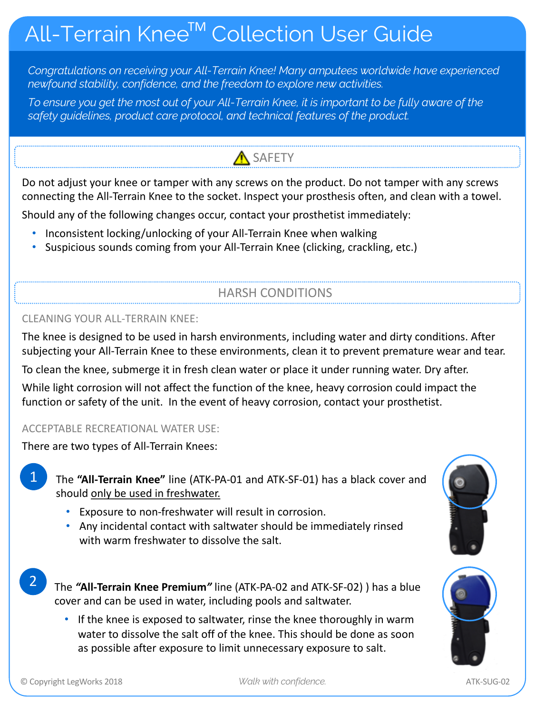# All-Terrain Knee™ Collection User Guide

*Congratulations on receiving your All-Terrain Knee! Many amputees worldwide have experienced newfound stability, confidence, and the freedom to explore new activities.* 

*To ensure you get the most out of your All-Terrain Knee, it is important to be fully aware of the safety guidelines, product care protocol, and technical features of the product.*

## SAFETY

Do not adjust your knee or tamper with any screws on the product. Do not tamper with any screws connecting the All-Terrain Knee to the socket. Inspect your prosthesis often, and clean with a towel.

Should any of the following changes occur, contact your prosthetist immediately:

- Inconsistent locking/unlocking of your All-Terrain Knee when walking
- Suspicious sounds coming from your All-Terrain Knee (clicking, crackling, etc.)

### HARSH CONDITIONS

#### CLEANING YOUR ALL-TERRAIN KNEE:

The knee is designed to be used in harsh environments, including water and dirty conditions. After subjecting your All-Terrain Knee to these environments, clean it to prevent premature wear and tear.

To clean the knee, submerge it in fresh clean water or place it under running water. Dry after. While light corrosion will not affect the function of the knee, heavy corrosion could impact the function or safety of the unit. In the event of heavy corrosion, contact your prosthetist.

#### ACCEPTABLE RECREATIONAL WATER USE:

There are two types of All-Terrain Knees:

The **"All-Terrain Knee"** line (ATK-PA-01 and ATK-SF-01) has a black cover and should only be used in freshwater.

- Exposure to non-freshwater will result in corrosion.
- Any incidental contact with saltwater should be immediately rinsed with warm freshwater to dissolve the salt.

The *"***All-Terrain Knee Premium***"* line (ATK-PA-02 and ATK-SF-02) ) has a blue cover and can be used in water, including pools and saltwater.

• If the knee is exposed to saltwater, rinse the knee thoroughly in warm water to dissolve the salt off of the knee. This should be done as soon as possible after exposure to limit unnecessary exposure to salt.





1

2